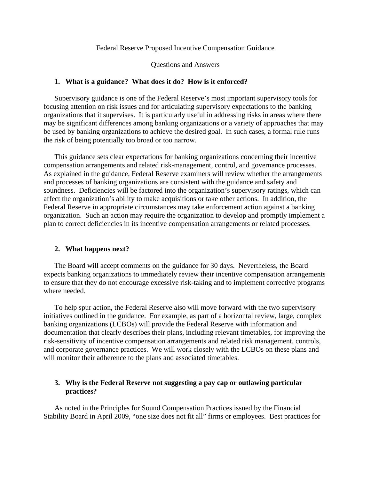### Federal Reserve Proposed Incentive Compensation Guidance

#### Questions and Answers

### **1. What is a guidance? What does it do? How is it enforced?**

Supervisory guidance is one of the Federal Reserve's most important supervisory tools for focusing attention on risk issues and for articulating supervisory expectations to the banking organizations that it supervises. It is particularly useful in addressing risks in areas where there may be significant differences among banking organizations or a variety of approaches that may be used by banking organizations to achieve the desired goal. In such cases, a formal rule runs the risk of being potentially too broad or too narrow.

This guidance sets clear expectations for banking organizations concerning their incentive compensation arrangements and related risk-management, control, and governance processes. As explained in the guidance, Federal Reserve examiners will review whether the arrangements and processes of banking organizations are consistent with the guidance and safety and soundness. Deficiencies will be factored into the organization's supervisory ratings, which can affect the organization's ability to make acquisitions or take other actions. In addition, the Federal Reserve in appropriate circumstances may take enforcement action against a banking organization. Such an action may require the organization to develop and promptly implement a plan to correct deficiencies in its incentive compensation arrangements or related processes.

#### **2. What happens next?**

The Board will accept comments on the guidance for 30 days. Nevertheless, the Board expects banking organizations to immediately review their incentive compensation arrangements to ensure that they do not encourage excessive risk-taking and to implement corrective programs where needed.

To help spur action, the Federal Reserve also will move forward with the two supervisory initiatives outlined in the guidance. For example, as part of a horizontal review, large, complex banking organizations (LCBOs) will provide the Federal Reserve with information and documentation that clearly describes their plans, including relevant timetables, for improving the risk-sensitivity of incentive compensation arrangements and related risk management, controls, and corporate governance practices. We will work closely with the LCBOs on these plans and will monitor their adherence to the plans and associated timetables.

## **3. Why is the Federal Reserve not suggesting a pay cap or outlawing particular practices?**

As noted in the Principles for Sound Compensation Practices issued by the Financial Stability Board in April 2009, "one size does not fit all" firms or employees. Best practices for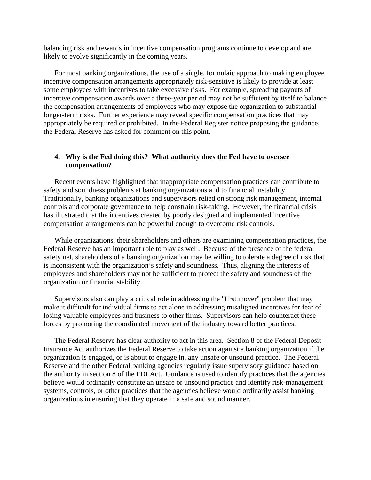likely to evolve significantly in the coming years. balancing risk and rewards in incentive compensation programs continue to develop and are

For most banking organizations, the use of a single, formulaic approach to making employee incentive compensation arrangements appropriately risk-sensitive is likely to provide at least some employees with incentives to take excessive risks. For example, spreading payouts of incentive compensation awards over a three-year period may not be sufficient by itself to balance the compensation arrangements of employees who may expose the organization to substantial longer-term risks. Further experience may reveal specific compensation practices that may appropriately be required or prohibited. In the Federal Register notice proposing the guidance, the Federal Reserve has asked for comment on this point.

# **4. Why is the Fed doing this? What authority does the Fed have to oversee compensation?**

Recent events have highlighted that inappropriate compensation practices can contribute to safety and soundness problems at banking organizations and to financial instability. Traditionally, banking organizations and supervisors relied on strong risk management, internal controls and corporate governance to help constrain risk-taking. However, the financial crisis has illustrated that the incentives created by poorly designed and implemented incentive compensation arrangements can be powerful enough to overcome risk controls.

While organizations, their shareholders and others are examining compensation practices, the Federal Reserve has an important role to play as well. Because of the presence of the federal safety net, shareholders of a banking organization may be willing to tolerate a degree of risk that is inconsistent with the organization's safety and soundness. Thus, aligning the interests of employees and shareholders may not be sufficient to protect the safety and soundness of the organization or financial stability.

Supervisors also can play a critical role in addressing the "first mover" problem that may make it difficult for individual firms to act alone in addressing misaligned incentives for fear of losing valuable employees and business to other firms. Supervisors can help counteract these forces by promoting the coordinated movement of the industry toward better practices.

The Federal Reserve has clear authority to act in this area. Section 8 of the Federal Deposit Insurance Act authorizes the Federal Reserve to take action against a banking organization if the organization is engaged, or is about to engage in, any unsafe or unsound practice. The Federal Reserve and the other Federal banking agencies regularly issue supervisory guidance based on the authority in section 8 of the FDI Act. Guidance is used to identify practices that the agencies believe would ordinarily constitute an unsafe or unsound practice and identify risk-management systems, controls, or other practices that the agencies believe would ordinarily assist banking organizations in ensuring that they operate in a safe and sound manner.